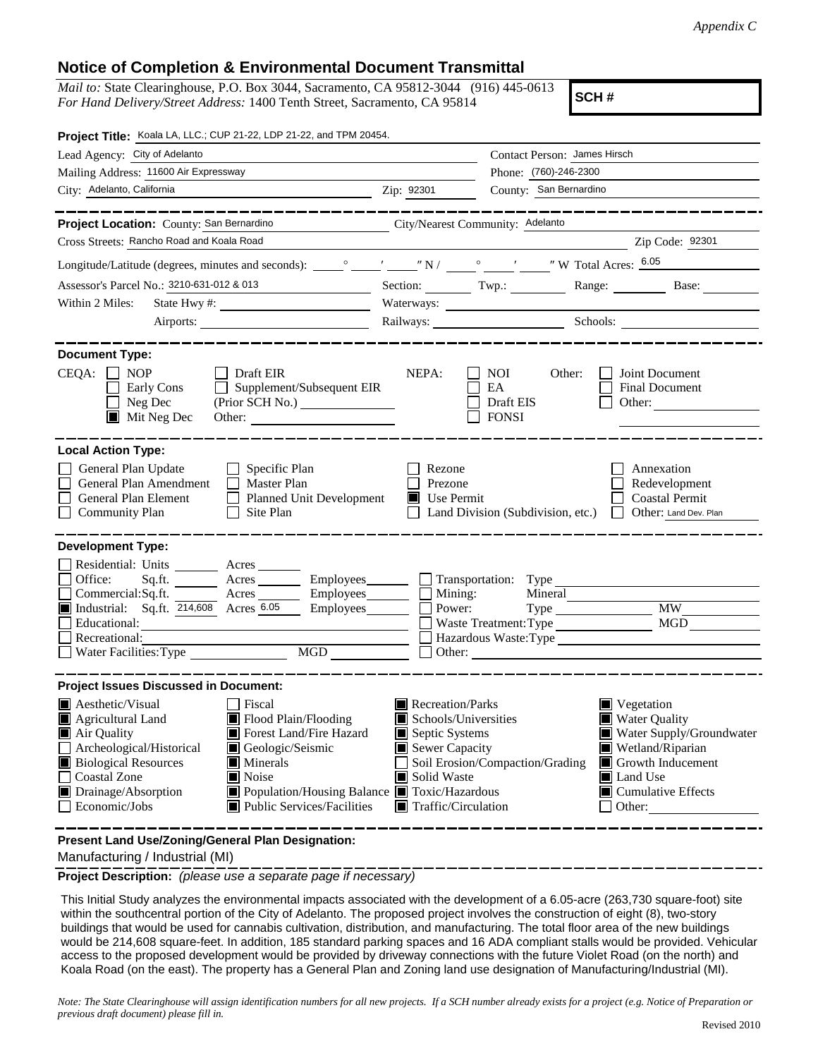## **Notice of Completion & Environmental Document Transmittal**

*Mail to:* State Clearinghouse, P.O. Box 3044, Sacramento, CA 95812-3044 (916) 445-0613 *For Hand Delivery/Street Address:* 1400 Tenth Street, Sacramento, CA 95814

**SCH #**

| Project Title: Koala LA, LLC.; CUP 21-22, LDP 21-22, and TPM 20454.                                                                                                                                                                                                                                                                                                                        |                                                                                                                                                  |                                                    |                                                                                                                                                                    |  |
|--------------------------------------------------------------------------------------------------------------------------------------------------------------------------------------------------------------------------------------------------------------------------------------------------------------------------------------------------------------------------------------------|--------------------------------------------------------------------------------------------------------------------------------------------------|----------------------------------------------------|--------------------------------------------------------------------------------------------------------------------------------------------------------------------|--|
| Lead Agency: City of Adelanto                                                                                                                                                                                                                                                                                                                                                              |                                                                                                                                                  | Contact Person: James Hirsch                       |                                                                                                                                                                    |  |
| Mailing Address: 11600 Air Expressway                                                                                                                                                                                                                                                                                                                                                      |                                                                                                                                                  | Phone: (760)-246-2300                              |                                                                                                                                                                    |  |
| City: Adelanto, California<br><u> 1989 - Johann Barbara, martin amerikan personal (</u>                                                                                                                                                                                                                                                                                                    | Zip: 92301                                                                                                                                       | County: San Bernardino                             |                                                                                                                                                                    |  |
| ________<br>Project Location: County: San Bernardino                                                                                                                                                                                                                                                                                                                                       | City/Nearest Community: Adelanto                                                                                                                 |                                                    |                                                                                                                                                                    |  |
| Cross Streets: Rancho Road and Koala Road                                                                                                                                                                                                                                                                                                                                                  |                                                                                                                                                  |                                                    | Zip Code: 92301                                                                                                                                                    |  |
|                                                                                                                                                                                                                                                                                                                                                                                            |                                                                                                                                                  |                                                    |                                                                                                                                                                    |  |
| Assessor's Parcel No.: 3210-631-012 & 013                                                                                                                                                                                                                                                                                                                                                  |                                                                                                                                                  |                                                    | Section: Twp.: Range: Base:                                                                                                                                        |  |
| Within 2 Miles:<br>State Hwy #:                                                                                                                                                                                                                                                                                                                                                            |                                                                                                                                                  |                                                    |                                                                                                                                                                    |  |
| Airports:                                                                                                                                                                                                                                                                                                                                                                                  |                                                                                                                                                  |                                                    | Railways: Schools:                                                                                                                                                 |  |
| <b>Document Type:</b><br>$CEQA: \Box NP$<br>$\Box$ Draft EIR<br>Supplement/Subsequent EIR<br>Early Cons<br>$\perp$<br>Neg Dec<br>$\blacksquare$ Mit Neg Dec<br>Other:                                                                                                                                                                                                                      | NEPA:                                                                                                                                            | NOI<br>Other:<br>EA<br>Draft EIS<br><b>FONSI</b>   | Joint Document<br><b>Final Document</b><br>Other:                                                                                                                  |  |
| <b>Local Action Type:</b>                                                                                                                                                                                                                                                                                                                                                                  |                                                                                                                                                  |                                                    |                                                                                                                                                                    |  |
| General Plan Update<br>$\Box$ Specific Plan<br>General Plan Amendment<br>$\Box$ Master Plan<br>General Plan Element<br>Planned Unit Development<br><b>Community Plan</b><br>Site Plan                                                                                                                                                                                                      | Rezone<br>Prezone<br>Use Permit<br>ШL                                                                                                            | Land Division (Subdivision, etc.)                  | Annexation<br>Redevelopment<br><b>Coastal Permit</b><br>Other: Land Dev. Plan                                                                                      |  |
| <b>Development Type:</b><br>Residential: Units ________ Acres _______<br>Office:<br>Sq.ft. ________ Acres _________ Employees ________ __ Transportation: Type ______<br>Commercial:Sq.ft.<br>Acres Employees 1<br>Industrial: Sq.ft. 214,608 Acres 6.05<br>Employees________<br>Educational:<br>Recreational:<br>MGD                                                                      | Mining:<br>Power:                                                                                                                                | Mineral<br>Type<br>Waste Treatment: Type<br>Other: | $\overline{\text{MW}}$<br><b>MGD</b><br>Hazardous Waste: Type                                                                                                      |  |
| <b>Project Issues Discussed in Document:</b>                                                                                                                                                                                                                                                                                                                                               |                                                                                                                                                  |                                                    |                                                                                                                                                                    |  |
| <b>A</b> esthetic/Visual<br>  Fiscal<br>Flood Plain/Flooding<br>Agricultural Land<br>Forest Land/Fire Hazard<br>Air Quality<br>Archeological/Historical<br>Geologic/Seismic<br><b>Biological Resources</b><br>Minerals<br><b>Coastal Zone</b><br><b>■</b> Noise<br>Population/Housing Balance Toxic/Hazardous<br>Drainage/Absorption<br><b>Public Services/Facilities</b><br>Economic/Jobs | Recreation/Parks<br>$\blacksquare$ Schools/Universities<br>Septic Systems<br>Sewer Capacity<br>Solid Waste<br>$\blacksquare$ Traffic/Circulation | Soil Erosion/Compaction/Grading                    | Vegetation<br><b>Water Quality</b><br>Water Supply/Groundwater<br>Wetland/Riparian<br>Growth Inducement<br>Land Use<br>$\blacksquare$ Cumulative Effects<br>Other: |  |

**Present Land Use/Zoning/General Plan Designation:**

Manufacturing / Industrial (MI)

**Project Description:** *(please use a separate page if necessary)*

 This Initial Study analyzes the environmental impacts associated with the development of a 6.05-acre (263,730 square-foot) site within the southcentral portion of the City of Adelanto. The proposed project involves the construction of eight (8), two-story buildings that would be used for cannabis cultivation, distribution, and manufacturing. The total floor area of the new buildings would be 214,608 square-feet. In addition, 185 standard parking spaces and 16 ADA compliant stalls would be provided. Vehicular access to the proposed development would be provided by driveway connections with the future Violet Road (on the north) and Koala Road (on the east). The property has a General Plan and Zoning land use designation of Manufacturing/Industrial (MI).

*Note: The State Clearinghouse will assign identification numbers for all new projects. If a SCH number already exists for a project (e.g. Notice of Preparation or previous draft document) please fill in.*